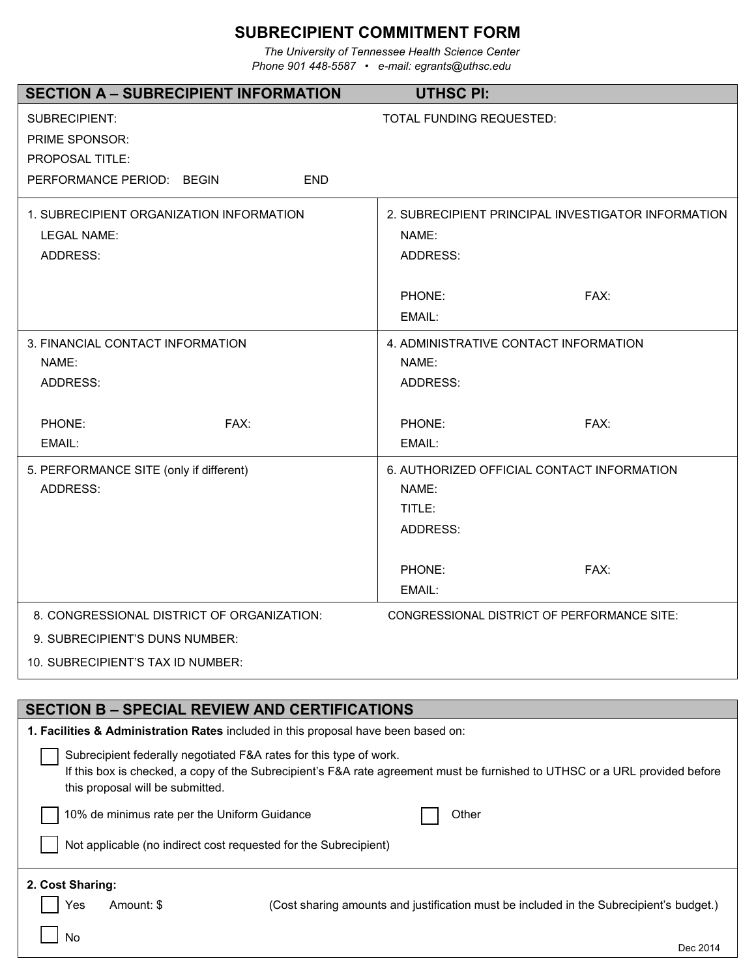# **SUBRECIPIENT COMMITMENT FORM**

*The University of Tennessee Health Science Center Phone 901 448-5587 • e-mail: egrants@uthsc.edu* 

| <b>SECTION A - SUBRECIPIENT INFORMATION</b>                                                            | <b>UTHSC PI:</b>                                                                                                            |
|--------------------------------------------------------------------------------------------------------|-----------------------------------------------------------------------------------------------------------------------------|
| <b>SUBRECIPIENT:</b>                                                                                   | TOTAL FUNDING REQUESTED:                                                                                                    |
| <b>PRIME SPONSOR:</b>                                                                                  |                                                                                                                             |
| <b>PROPOSAL TITLE:</b>                                                                                 |                                                                                                                             |
| PERFORMANCE PERIOD: BEGIN<br><b>END</b>                                                                |                                                                                                                             |
| 1. SUBRECIPIENT ORGANIZATION INFORMATION                                                               | 2. SUBRECIPIENT PRINCIPAL INVESTIGATOR INFORMATION                                                                          |
| <b>LEGAL NAME:</b>                                                                                     | NAME:                                                                                                                       |
| <b>ADDRESS:</b>                                                                                        | <b>ADDRESS:</b>                                                                                                             |
|                                                                                                        | FAX:<br>PHONE:                                                                                                              |
|                                                                                                        | EMAIL:                                                                                                                      |
| 3. FINANCIAL CONTACT INFORMATION                                                                       | 4. ADMINISTRATIVE CONTACT INFORMATION                                                                                       |
| NAME:                                                                                                  | NAME:                                                                                                                       |
| <b>ADDRESS:</b>                                                                                        | <b>ADDRESS:</b>                                                                                                             |
| FAX:<br>PHONE:                                                                                         | FAX:<br>PHONE:                                                                                                              |
| EMAIL:                                                                                                 | EMAIL:                                                                                                                      |
| 5. PERFORMANCE SITE (only if different)                                                                | 6. AUTHORIZED OFFICIAL CONTACT INFORMATION                                                                                  |
| <b>ADDRESS:</b>                                                                                        | NAME:                                                                                                                       |
|                                                                                                        | TITLE:                                                                                                                      |
|                                                                                                        | <b>ADDRESS:</b>                                                                                                             |
|                                                                                                        | FAX:<br>PHONE:                                                                                                              |
|                                                                                                        | EMAIL:                                                                                                                      |
| 8. CONGRESSIONAL DISTRICT OF ORGANIZATION:                                                             | CONGRESSIONAL DISTRICT OF PERFORMANCE SITE:                                                                                 |
| 9. SUBRECIPIENT'S DUNS NUMBER:                                                                         |                                                                                                                             |
| 10. SUBRECIPIENT'S TAX ID NUMBER:                                                                      |                                                                                                                             |
|                                                                                                        |                                                                                                                             |
| <b>SECTION B - SPECIAL REVIEW AND CERTIFICATIONS</b>                                                   |                                                                                                                             |
| 1. Facilities & Administration Rates included in this proposal have been based on:                     |                                                                                                                             |
| Subrecipient federally negotiated F&A rates for this type of work.<br>this proposal will be submitted. | If this box is checked, a copy of the Subrecipient's F&A rate agreement must be furnished to UTHSC or a URL provided before |
| 10% de minimus rate per the Uniform Guidance                                                           | Other                                                                                                                       |

Not applicable (no indirect cost requested for the Subrecipient)

No

Yes Amount: \$ (Cost sharing amounts and justification must be included in the Subrecipient's budget.)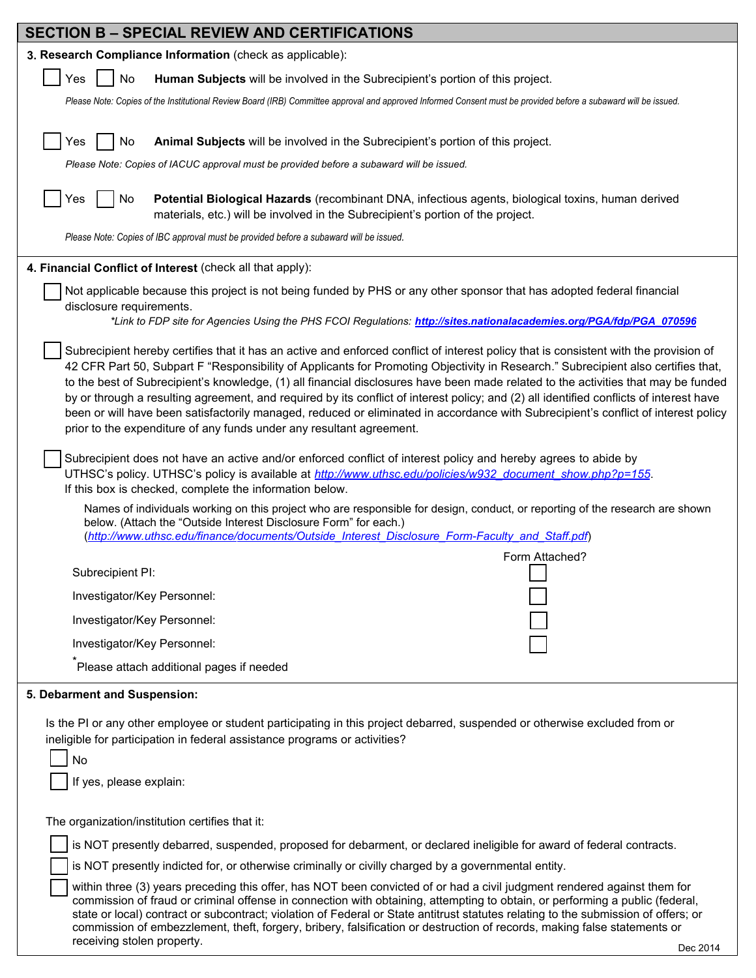| <b>SECTION B - SPECIAL REVIEW AND CERTIFICATIONS</b>                                                                                                                                                                                                                                                                                                                                                                                                                                                                                                                                                                                                                                                                                                                      |
|---------------------------------------------------------------------------------------------------------------------------------------------------------------------------------------------------------------------------------------------------------------------------------------------------------------------------------------------------------------------------------------------------------------------------------------------------------------------------------------------------------------------------------------------------------------------------------------------------------------------------------------------------------------------------------------------------------------------------------------------------------------------------|
| 3. Research Compliance Information (check as applicable):                                                                                                                                                                                                                                                                                                                                                                                                                                                                                                                                                                                                                                                                                                                 |
| Yes<br>No<br>Human Subjects will be involved in the Subrecipient's portion of this project.                                                                                                                                                                                                                                                                                                                                                                                                                                                                                                                                                                                                                                                                               |
| Please Note: Copies of the Institutional Review Board (IRB) Committee approval and approved Informed Consent must be provided before a subaward will be issued.                                                                                                                                                                                                                                                                                                                                                                                                                                                                                                                                                                                                           |
|                                                                                                                                                                                                                                                                                                                                                                                                                                                                                                                                                                                                                                                                                                                                                                           |
| No<br>Animal Subjects will be involved in the Subrecipient's portion of this project.<br>Yes                                                                                                                                                                                                                                                                                                                                                                                                                                                                                                                                                                                                                                                                              |
| Please Note: Copies of IACUC approval must be provided before a subaward will be issued.                                                                                                                                                                                                                                                                                                                                                                                                                                                                                                                                                                                                                                                                                  |
| No<br>Potential Biological Hazards (recombinant DNA, infectious agents, biological toxins, human derived<br>Yes<br>materials, etc.) will be involved in the Subrecipient's portion of the project.                                                                                                                                                                                                                                                                                                                                                                                                                                                                                                                                                                        |
| Please Note: Copies of IBC approval must be provided before a subaward will be issued.                                                                                                                                                                                                                                                                                                                                                                                                                                                                                                                                                                                                                                                                                    |
| 4. Financial Conflict of Interest (check all that apply):                                                                                                                                                                                                                                                                                                                                                                                                                                                                                                                                                                                                                                                                                                                 |
| Not applicable because this project is not being funded by PHS or any other sponsor that has adopted federal financial<br>disclosure requirements.                                                                                                                                                                                                                                                                                                                                                                                                                                                                                                                                                                                                                        |
| *Link to FDP site for Agencies Using the PHS FCOI Regulations: http://sites.nationalacademies.org/PGA/fdp/PGA_070596                                                                                                                                                                                                                                                                                                                                                                                                                                                                                                                                                                                                                                                      |
| Subrecipient hereby certifies that it has an active and enforced conflict of interest policy that is consistent with the provision of<br>42 CFR Part 50, Subpart F "Responsibility of Applicants for Promoting Objectivity in Research." Subrecipient also certifies that,<br>to the best of Subrecipient's knowledge, (1) all financial disclosures have been made related to the activities that may be funded<br>by or through a resulting agreement, and required by its conflict of interest policy; and (2) all identified conflicts of interest have<br>been or will have been satisfactorily managed, reduced or eliminated in accordance with Subrecipient's conflict of interest policy<br>prior to the expenditure of any funds under any resultant agreement. |
| Subrecipient does not have an active and/or enforced conflict of interest policy and hereby agrees to abide by<br>UTHSC's policy. UTHSC's policy is available at <i>http://www.uthsc.edu/policies/w932 document show.php?p=155</i> .<br>If this box is checked, complete the information below.                                                                                                                                                                                                                                                                                                                                                                                                                                                                           |
| Names of individuals working on this project who are responsible for design, conduct, or reporting of the research are shown<br>below. (Attach the "Outside Interest Disclosure Form" for each.)<br>(http://www.uthsc.edu/finance/documents/Outside Interest Disclosure Form-Faculty and Staff.pdf)                                                                                                                                                                                                                                                                                                                                                                                                                                                                       |
| Form Attached?                                                                                                                                                                                                                                                                                                                                                                                                                                                                                                                                                                                                                                                                                                                                                            |
| Subrecipient PI:                                                                                                                                                                                                                                                                                                                                                                                                                                                                                                                                                                                                                                                                                                                                                          |
| Investigator/Key Personnel:                                                                                                                                                                                                                                                                                                                                                                                                                                                                                                                                                                                                                                                                                                                                               |
| Investigator/Key Personnel:                                                                                                                                                                                                                                                                                                                                                                                                                                                                                                                                                                                                                                                                                                                                               |
| Investigator/Key Personnel:                                                                                                                                                                                                                                                                                                                                                                                                                                                                                                                                                                                                                                                                                                                                               |
| Please attach additional pages if needed                                                                                                                                                                                                                                                                                                                                                                                                                                                                                                                                                                                                                                                                                                                                  |
| 5. Debarment and Suspension:                                                                                                                                                                                                                                                                                                                                                                                                                                                                                                                                                                                                                                                                                                                                              |
| Is the PI or any other employee or student participating in this project debarred, suspended or otherwise excluded from or<br>ineligible for participation in federal assistance programs or activities?<br>No<br>If yes, please explain:                                                                                                                                                                                                                                                                                                                                                                                                                                                                                                                                 |
| The organization/institution certifies that it:                                                                                                                                                                                                                                                                                                                                                                                                                                                                                                                                                                                                                                                                                                                           |
| is NOT presently debarred, suspended, proposed for debarment, or declared ineligible for award of federal contracts.                                                                                                                                                                                                                                                                                                                                                                                                                                                                                                                                                                                                                                                      |
| is NOT presently indicted for, or otherwise criminally or civilly charged by a governmental entity.                                                                                                                                                                                                                                                                                                                                                                                                                                                                                                                                                                                                                                                                       |
| within three (3) years preceding this offer, has NOT been convicted of or had a civil judgment rendered against them for<br>commission of fraud or criminal offense in connection with obtaining, attempting to obtain, or performing a public (federal,<br>state or local) contract or subcontract; violation of Federal or State antitrust statutes relating to the submission of offers; or<br>commission of embezzlement, theft, forgery, bribery, falsification or destruction of records, making false statements or<br>receiving stolen property.<br>Dec 2014                                                                                                                                                                                                      |
|                                                                                                                                                                                                                                                                                                                                                                                                                                                                                                                                                                                                                                                                                                                                                                           |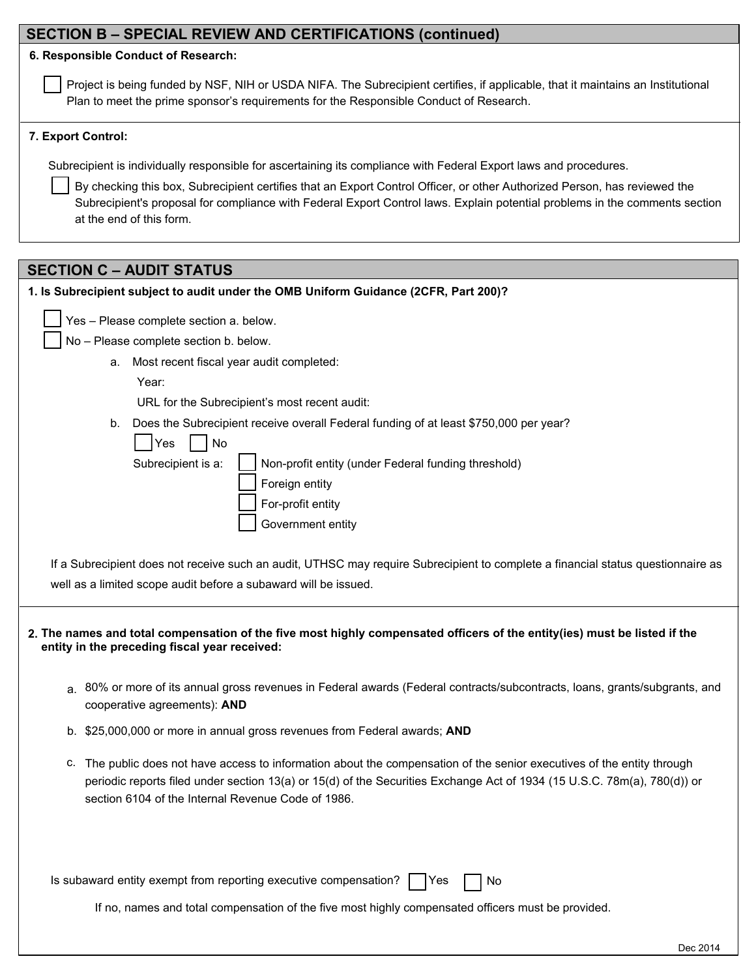| <b>SECTION B - SPECIAL REVIEW AND CERTIFICATIONS (continued)</b>                                                                                                                                                                                                                                          |  |
|-----------------------------------------------------------------------------------------------------------------------------------------------------------------------------------------------------------------------------------------------------------------------------------------------------------|--|
| 6. Responsible Conduct of Research:                                                                                                                                                                                                                                                                       |  |
| Project is being funded by NSF, NIH or USDA NIFA. The Subrecipient certifies, if applicable, that it maintains an Institutional<br>Plan to meet the prime sponsor's requirements for the Responsible Conduct of Research.                                                                                 |  |
| 7. Export Control:                                                                                                                                                                                                                                                                                        |  |
| Subrecipient is individually responsible for ascertaining its compliance with Federal Export laws and procedures.                                                                                                                                                                                         |  |
| By checking this box, Subrecipient certifies that an Export Control Officer, or other Authorized Person, has reviewed the<br>Subrecipient's proposal for compliance with Federal Export Control laws. Explain potential problems in the comments section<br>at the end of this form.                      |  |
| <b>SECTION C - AUDIT STATUS</b>                                                                                                                                                                                                                                                                           |  |
| 1. Is Subrecipient subject to audit under the OMB Uniform Guidance (2CFR, Part 200)?                                                                                                                                                                                                                      |  |
| Yes - Please complete section a. below.                                                                                                                                                                                                                                                                   |  |
| No - Please complete section b. below.                                                                                                                                                                                                                                                                    |  |
| Most recent fiscal year audit completed:<br>а.                                                                                                                                                                                                                                                            |  |
| Year:                                                                                                                                                                                                                                                                                                     |  |
| URL for the Subrecipient's most recent audit:                                                                                                                                                                                                                                                             |  |
| Does the Subrecipient receive overall Federal funding of at least \$750,000 per year?<br>b.                                                                                                                                                                                                               |  |
| No<br>Yes                                                                                                                                                                                                                                                                                                 |  |
| Subrecipient is a:<br>Non-profit entity (under Federal funding threshold)                                                                                                                                                                                                                                 |  |
| Foreign entity<br>For-profit entity                                                                                                                                                                                                                                                                       |  |
| Government entity                                                                                                                                                                                                                                                                                         |  |
|                                                                                                                                                                                                                                                                                                           |  |
| If a Subrecipient does not receive such an audit, UTHSC may require Subrecipient to complete a financial status questionnaire as                                                                                                                                                                          |  |
| well as a limited scope audit before a subaward will be issued.                                                                                                                                                                                                                                           |  |
| 2. The names and total compensation of the five most highly compensated officers of the entity(ies) must be listed if the<br>entity in the preceding fiscal year received:                                                                                                                                |  |
| a. 80% or more of its annual gross revenues in Federal awards (Federal contracts/subcontracts, loans, grants/subgrants, and<br>cooperative agreements): AND                                                                                                                                               |  |
| b. \$25,000,000 or more in annual gross revenues from Federal awards; AND                                                                                                                                                                                                                                 |  |
| c. The public does not have access to information about the compensation of the senior executives of the entity through<br>periodic reports filed under section 13(a) or 15(d) of the Securities Exchange Act of 1934 (15 U.S.C. 78m(a), 780(d)) or<br>section 6104 of the Internal Revenue Code of 1986. |  |
| Is subaward entity exempt from reporting executive compensation?<br>Yes<br>No                                                                                                                                                                                                                             |  |
| If no, names and total compensation of the five most highly compensated officers must be provided.                                                                                                                                                                                                        |  |

Dec 2014